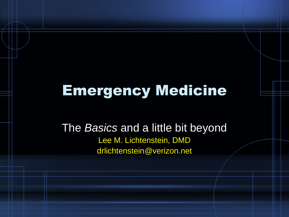## Emergency Medicine

The *Basics* and a little bit beyond Lee M. Lichtenstein, DMD drlichtenstein@verizon.net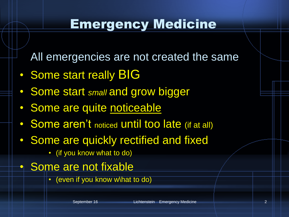#### Emergency Medicine

All emergencies are not created the same

- Some start really **BIG**
- Some start *small* and grow bigger
- Some are quite noticeable
- Some aren't noticed until too late (if at all)
- Some are quickly rectified and fixed
	- (if you know what to do)
- Some are not fixable
	- (even if you know w\hat to do)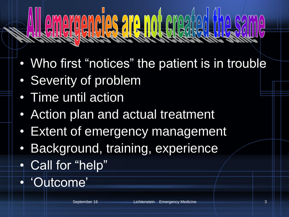# $||0||0||0||0||$

- Who first "notices" the patient is in trouble
- Severity of problem
- Time until action
- Action plan and actual treatment
- Extent of emergency management
- Background, training, experience
- Call for "help"
- 'Outcome'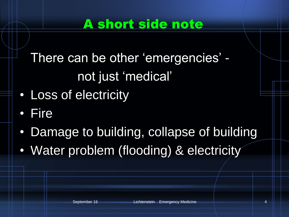#### A short side note

There can be other 'emergencies' not just 'medical'

- Loss of electricity
- Fire
- Damage to building, collapse of building
- Water problem (flooding) & electricity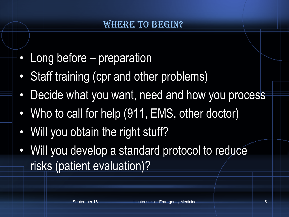#### **WHERE TO BEGIN?**

- Long before preparation
- Staff training (cpr and other problems)
- Decide what you want, need and how you process
- Who to call for help (911, EMS, other doctor)
- Will you obtain the right stuff?
- Will you develop a standard protocol to reduce risks (patient evaluation)?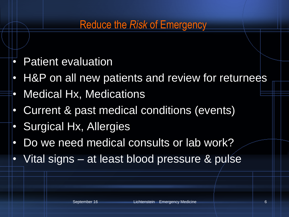#### Reduce the *Risk* of Emergency

- Patient evaluation
- H&P on all new patients and review for returnees
- Medical Hx, Medications
- Current & past medical conditions (events)
- Surgical Hx, Allergies
- Do we need medical consults or lab work?
- Vital signs at least blood pressure & pulse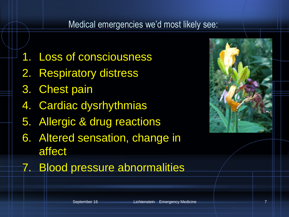#### Medical emergencies we'd most likely see:

- 1. Loss of consciousness
- 2. Respiratory distress
- 3. Chest pain
- 4. Cardiac dysrhythmias
- 5. Allergic & drug reactions
- 6. Altered sensation, change in affect
- 7. Blood pressure abnormalities

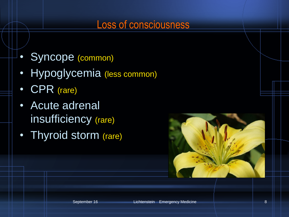#### Loss of consciousness

- Syncope (common)
- Hypoglycemia (less common)
- CPR (rare)
- Acute adrenal insufficiency (rare)
- Thyroid storm (rare)

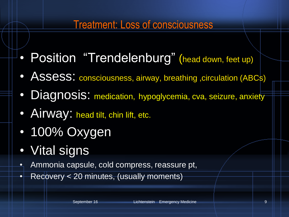#### Treatment: Loss of consciousness

- Position "Trendelenburg" (head down, feet up)
- Assess: consciousness, airway, breathing , circulation (ABCs)
- Diagnosis: medication, hypoglycemia, cva, seizure, anxiety
- Airway: head tilt, chin lift, etc.
- 100% Oxygen
- Vital signs
- Ammonia capsule, cold compress, reassure pt,
- Recovery < 20 minutes, (usually moments)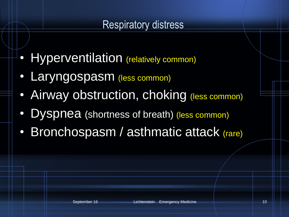#### Respiratory distress

- Hyperventilation (relatively common)
- Laryngospasm (less common)
- Airway obstruction, choking (less common)
- Dyspnea (shortness of breath) (less common)
- Bronchospasm / asthmatic attack (rare)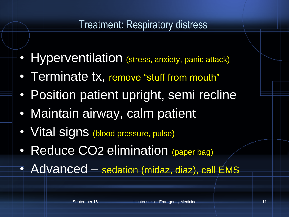#### Treatment: Respiratory distress

- Hyperventilation (stress, anxiety, panic attack)
- Terminate tx, remove "stuff from mouth"
- Position patient upright, semi recline
- Maintain airway, calm patient
- Vital signs (blood pressure, pulse)
- Reduce CO<sub>2</sub> elimination (paper bag)
- Advanced sedation (midaz, diaz), call EMS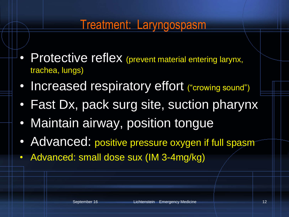#### Treatment: Laryngospasm

- Protective reflex (prevent material entering larynx, trachea, lungs)
- Increased respiratory effort ("crowing sound")
- Fast Dx, pack surg site, suction pharynx
- Maintain airway, position tongue
- Advanced: positive pressure oxygen if full spasm
- Advanced: small dose sux (IM 3-4mg/kg)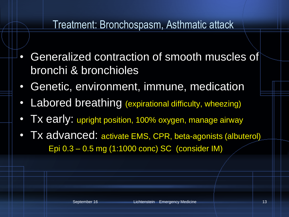#### Treatment: Bronchospasm, Asthmatic attack

- Generalized contraction of smooth muscles of bronchi & bronchioles
- Genetic, environment, immune, medication
- Labored breathing (expirational difficulty, wheezing)
- Tx early: upright position, 100% oxygen, manage airway
- Tx advanced: activate EMS, CPR, beta-agonists (albuterol) Epi 0.3 – 0.5 mg (1:1000 conc) SC (consider IM)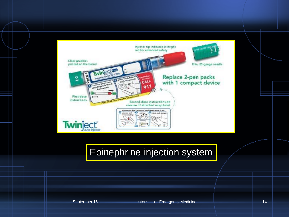

#### Epinephrine injection system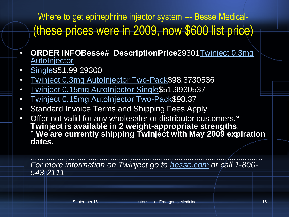Where to get epinephrine injector system --- Besse Medical-(these prices were in 2009, now \$600 list price)

- **ORDER INF[O](http://cl.exct.net/?ju=fe5d16747063027c751d&ls=fdff15777465077c74137671&m=fefd1772756203&l=feca127174600575&s=fe5312747d6c0c7e7412&jb=ffcf14&t=)Besse# DescriptionPrice**29301[Twinject 0.3mg](http://cl.exct.net/?ju=fe5d16747063027c751d&ls=fdff15777465077c74137671&m=fefd1772756203&l=feca127174600575&s=fe5312747d6c0c7e7412&jb=ffcf14&t=)  **AutoInjector**
- [Single\\$](http://cl.exct.net/?ju=fe5d16747063027c751d&ls=fdff15777465077c74137671&m=fefd1772756203&l=feca127174600575&s=fe5312747d6c0c7e7412&jb=ffcf14&t=)51.99 29300
- [Twinject 0.3mg AutoInjector Two-Pack\\$](http://cl.exct.net/?ju=fe6516747063027c7414&ls=fdff15777465077c74137671&m=fefd1772756203&l=feca127174600575&s=fe5312747d6c0c7e7412&jb=ffcf14&t=)98.3730536
- [Twinject 0.15mg AutoInjector Single](http://cl.exct.net/?ju=fe6416747063027c7415&ls=fdff15777465077c74137671&m=fefd1772756203&l=feca127174600575&s=fe5312747d6c0c7e7412&jb=ffcf14&t=)\$51.9930537
- [Twinject 0.15mg AutoInjector Two-Pack\\$](http://cl.exct.net/?ju=fe6316747063027c7416&ls=fdff15777465077c74137671&m=fefd1772756203&l=feca127174600575&s=fe5312747d6c0c7e7412&jb=ffcf14&t=)98.37
- Standard Invoice Terms and Shipping Fees Apply
- Offer not valid for any wholesaler or distributor customers.**° Twinject is available in 2 weight-appropriate strengths**. **° We are currently shipping Twinject with May 2009 expiration dates.**

......................................................................................................... *For more information on Twinject go to [besse.com](http://cl.exct.net/?ju=fe6216747063027c7417&ls=fdff15777465077c74137671&m=fefd1772756203&l=feca127174600575&s=fe5312747d6c0c7e7412&jb=ffcf14&t=) or call 1-800- 543-2111*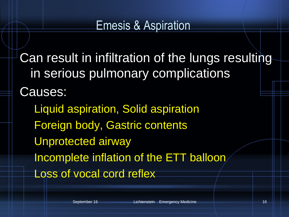#### Emesis & Aspiration

Can result in infiltration of the lungs resulting in serious pulmonary complications Causes:

Liquid aspiration, Solid aspiration Foreign body, Gastric contents Unprotected airway Incomplete inflation of the ETT balloon Loss of vocal cord reflex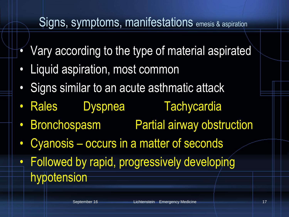- Vary according to the type of material aspirated
- Liquid aspiration, most common
- Signs similar to an acute asthmatic attack
- Rales Dyspnea Tachycardia

- Bronchospasm Partial airway obstruction
- Cyanosis occurs in a matter of seconds
- Followed by rapid, progressively developing hypotension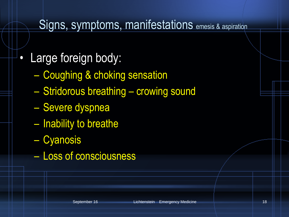- Large foreign body:
	- Coughing & choking sensation
	- Stridorous breathing crowing sound
	- Severe dyspnea
	- Inability to breathe
	- Cyanosis
	- Loss of consciousness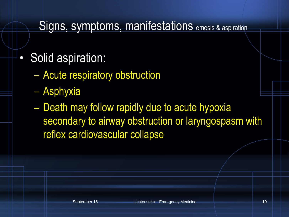- Solid aspiration:
	- Acute respiratory obstruction
	- Asphyxia
	- Death may follow rapidly due to acute hypoxia secondary to airway obstruction or laryngospasm with reflex cardiovascular collapse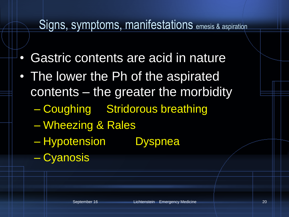- Gastric contents are acid in nature
- The lower the Ph of the aspirated contents – the greater the morbidity
	- Coughing Stridorous breathing
	- Wheezing & Rales
	- Hypotension Dyspnea
	- Cyanosis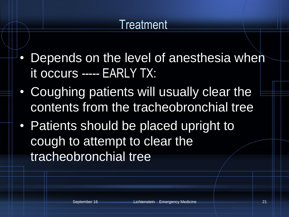## **Treatment**

- Depends on the level of anesthesia when it occurs ----- EARLY TX:
- Coughing patients will usually clear the contents from the tracheobronchial tree
- Patients should be placed upright to cough to attempt to clear the tracheobronchial tree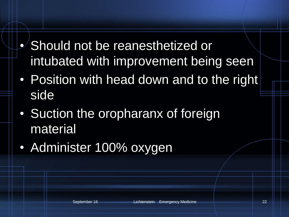- Should not be reanesthetized or intubated with improvement being seen
- Position with head down and to the right side
- Suction the oropharanx of foreign material
- Administer 100% oxygen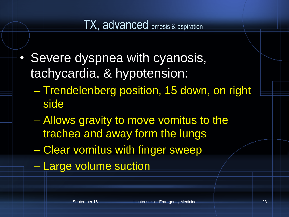#### TX, advanced emesis & aspiration

- Severe dyspnea with cyanosis, tachycardia, & hypotension:
	- Trendelenberg position, 15 down, on right side
	- Allows gravity to move vomitus to the trachea and away form the lungs
	- Clear vomitus with finger sweep
	- Large volume suction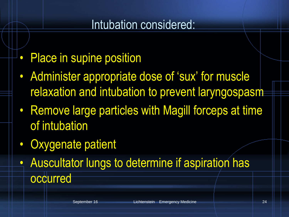#### Intubation considered:

- Place in supine position
- Administer appropriate dose of 'sux' for muscle relaxation and intubation to prevent laryngospasm
- Remove large particles with Magill forceps at time of intubation
- Oxygenate patient
- Auscultator lungs to determine if aspiration has occurred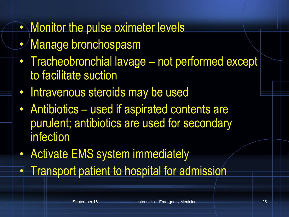## • Monitor the pulse oximeter levels

- Manage bronchospasm
- Tracheobronchial lavage not performed except to facilitate suction
- Intravenous steroids may be used
- Antibiotics used if aspirated contents are purulent; antibiotics are used for secondary infection
- Activate EMS system immediately
- **Transport patient to hospital for admission**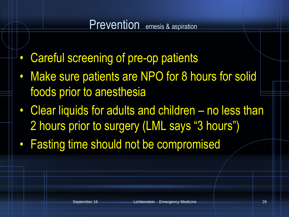#### Prevention emesis & aspiration

- Careful screening of pre-op patients
- Make sure patients are NPO for 8 hours for solid foods prior to anesthesia
- Clear liquids for adults and children no less than 2 hours prior to surgery (LML says "3 hours")
- Fasting time should not be compromised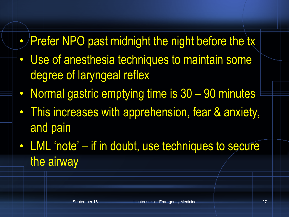## • Prefer NPO past midnight the night before the tx

- Use of anesthesia techniques to maintain some degree of laryngeal reflex
- Normal gastric emptying time is 30 90 minutes
- This increases with apprehension, fear & anxiety, and pain
- LML 'note' if in doubt, use techniques to secure the airway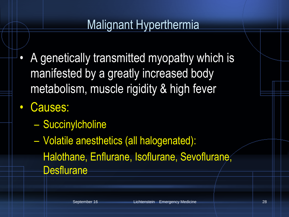#### Malignant Hyperthermia

- A genetically transmitted myopathy which is manifested by a greatly increased body metabolism, muscle rigidity & high fever
- Causes:
	- Succinylcholine
	- Volatile anesthetics (all halogenated): Halothane, Enflurane, Isoflurane, Sevoflurane, **Desflurane**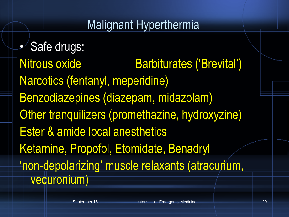#### Malignant Hyperthermia

• Safe drugs: Nitrous oxide Barbiturates ('Brevital') Narcotics (fentanyl, meperidine) Benzodiazepines (diazepam, midazolam) Other tranquilizers (promethazine, hydroxyzine) Ester & amide local anesthetics Ketamine, Propofol, Etomidate, Benadryl 'non-depolarizing' muscle relaxants (atracurium, vecuronium)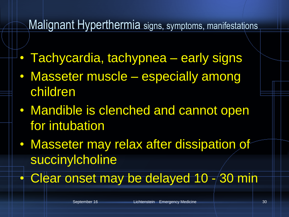- Tachycardia, tachypnea early signs
- Masseter muscle especially among children
- Mandible is clenched and cannot open for intubation
- Masseter may relax after dissipation of succinylcholine
- Clear onset may be delayed 10 -/30 min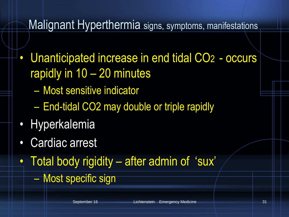- Unanticipated increase in end tidal CO2 occurs rapidly in 10 – 20 minutes
	- Most sensitive indicator
	- End-tidal CO2 may double or triple rapidly
- Hyperkalemia
- Cardiac arrest
- Total body rigidity after admin of 'sux'
	- Most specific sign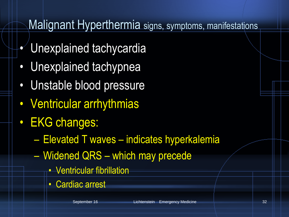- Unexplained tachycardia
- Unexplained tachypnea
- Unstable blood pressure
- Ventricular arrhythmias
- EKG changes:
	- Elevated T waves indicates hyperkalemia
	- Widened QRS which may precede
		- Ventricular fibrillation
		- Cardiac arrest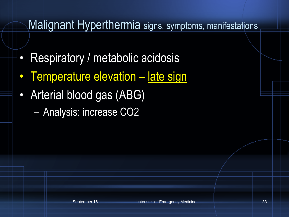- Respiratory / metabolic acidosis
- Temperature elevation late sign
- Arterial blood gas (ABG)
	- Analysis: increase CO2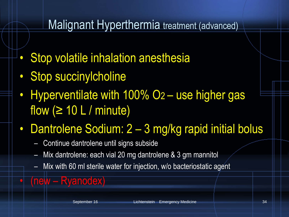#### Malignant Hyperthermia treatment (advanced)

- Stop volatile inhalation anesthesia
- Stop succinylcholine
- Hyperventilate with 100% O2 use higher gas flow  $( \geq 10 \text{ L} / \text{minute})$
- Dantrolene Sodium: 2 3 mg/kg rapid initial bolus
	- Continue dantrolene until signs subside
	- Mix dantrolene: each vial 20 mg dantrolene & 3 gm mannitol
	- Mix with 60 ml sterile water for injection, w/o bacteriostatic agent
- (new Ryanodex)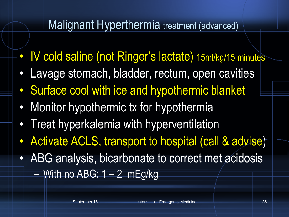#### Malignant Hyperthermia treatment (advanced)

- IV cold saline (not Ringer's lactate) 15ml/kg/15 minutes
- Lavage stomach, bladder, rectum, open cavities
- Surface cool with ice and hypothermic blanket
- Monitor hypothermic tx for hypothermia
- Treat hyperkalemia with hyperventilation
- Activate ACLS, transport to hospital (call & advise)
- ABG analysis, bicarbonate to correct met acidosis  $-$  With no ABG: 1  $-$  2 mEg/kg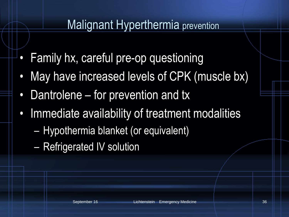#### Malignant Hyperthermia prevention

- Family hx, careful pre-op questioning
- May have increased levels of CPK (muscle bx)
- Dantrolene for prevention and tx
- Immediate availability of treatment modalities
	- Hypothermia blanket (or equivalent)
	- Refrigerated IV solution